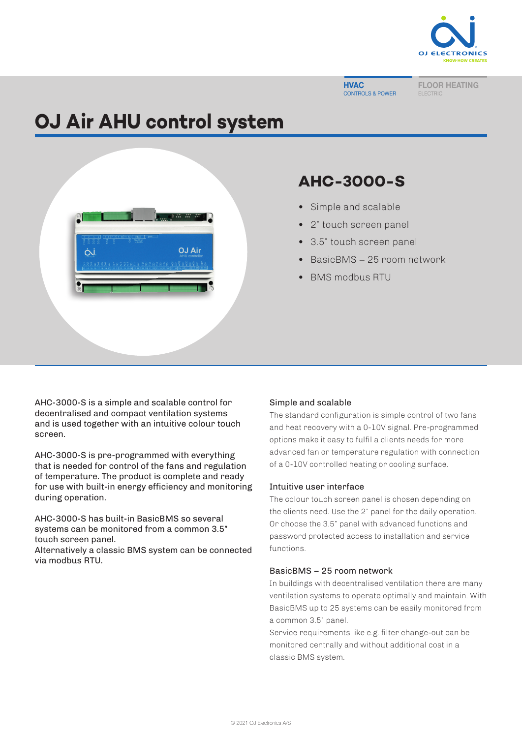

#### **HVAC** CONTROLS & POWER

FLOOR HEATING ELECTRIC

# **OJ Air AHU control system**



# **AHC-3000-S**

- **•** Simple and scalable
- **•** 2" touch screen panel
- **•** 3.5" touch screen panel
- **•** BasicBMS − 25 room network
- **•** BMS modbus RTU

AHC-3000-S is a simple and scalable control for decentralised and compact ventilation systems and is used together with an intuitive colour touch screen.

AHC-3000-S is pre-programmed with everything that is needed for control of the fans and regulation of temperature. The product is complete and ready for use with built-in energy efficiency and monitoring during operation.

AHC-3000-S has built-in BasicBMS so several systems can be monitored from a common 3.5" touch screen panel.

Alternatively a classic BMS system can be connected via modbus RTU.

# Simple and scalable

The standard configuration is simple control of two fans and heat recovery with a 0-10V signal. Pre-programmed options make it easy to fulfil a clients needs for more advanced fan or temperature regulation with connection of a 0-10V controlled heating or cooling surface.

# Intuitive user interface

The colour touch screen panel is chosen depending on the clients need. Use the 2" panel for the daily operation. Or choose the 3.5" panel with advanced functions and password protected access to installation and service functions.

# BasicBMS – 25 room network

In buildings with decentralised ventilation there are many ventilation systems to operate optimally and maintain. With BasicBMS up to 25 systems can be easily monitored from a common 3.5" panel.

Service requirements like e.g. filter change-out can be monitored centrally and without additional cost in a classic BMS system.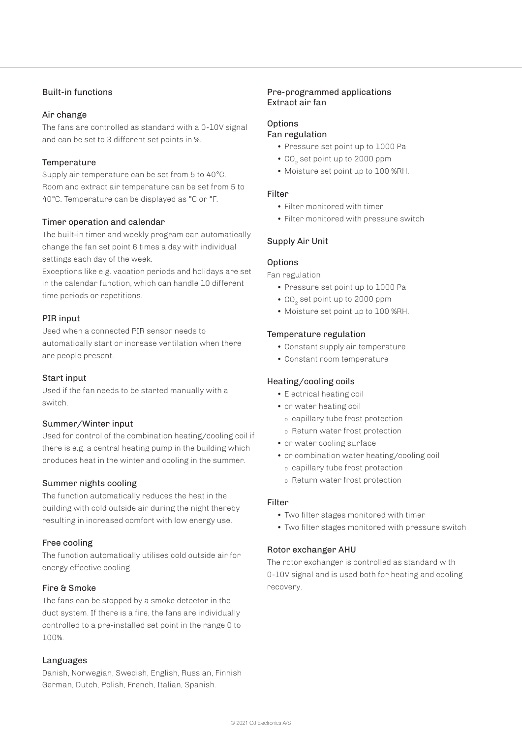# Built-in functions

# Air change

The fans are controlled as standard with a 0-10V signal and can be set to 3 different set points in %.

# **Temperature**

Supply air temperature can be set from 5 to 40°C. Room and extract air temperature can be set from 5 to 40°C. Temperature can be displayed as °C or °F.

# Timer operation and calendar

The built-in timer and weekly program can automatically change the fan set point 6 times a day with individual settings each day of the week.

Exceptions like e.g. vacation periods and holidays are set in the calendar function, which can handle 10 different time periods or repetitions.

# PIR input

Used when a connected PIR sensor needs to automatically start or increase ventilation when there are people present.

# Start input

Used if the fan needs to be started manually with a switch.

# Summer/Winter input

Used for control of the combination heating/cooling coil if there is e.g. a central heating pump in the building which produces heat in the winter and cooling in the summer.

# Summer nights cooling

The function automatically reduces the heat in the building with cold outside air during the night thereby resulting in increased comfort with low energy use.

# Free cooling

The function automatically utilises cold outside air for energy effective cooling.

# Fire & Smoke

The fans can be stopped by a smoke detector in the duct system. If there is a fire, the fans are individually controlled to a pre-installed set point in the range 0 to 100%.

# Languages

Danish, Norwegian, Swedish, English, Russian, Finnish German, Dutch, Polish, French, Italian, Spanish.

# Pre-programmed applications Extract air fan

# **Options**

# Fan regulation

- Pressure set point up to 1000 Pa
- CO<sub>2</sub> set point up to 2000 ppm
- Moisture set point up to 100 %RH.

#### Filter

- Filter monitored with timer
- Filter monitored with pressure switch

# Supply Air Unit

# **Options**

Fan regulation

- Pressure set point up to 1000 Pa
- CO<sub>2</sub> set point up to 2000 ppm
- Moisture set point up to 100 %RH.

# Temperature regulation

- Constant supply air temperature
- Constant room temperature

# Heating/cooling coils

- Electrical heating coil
- or water heating coil
	- o capillary tube frost protection
	- o Return water frost protection
- or water cooling surface
- or combination water heating/cooling coil
	- o capillary tube frost protection
	- o Return water frost protection

# Filter

- Two filter stages monitored with timer
- Two filter stages monitored with pressure switch

# Rotor exchanger AHU

The rotor exchanger is controlled as standard with 0-10V signal and is used both for heating and cooling recovery.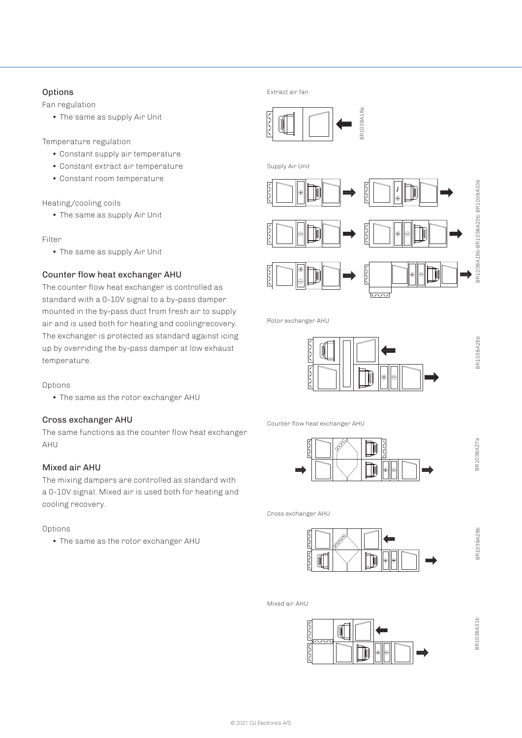# **Options**

Fan regulation

• The same as supply Air Unit

Temperature regulation

- Constant supply air temperature
- Constant extract air temperature
- Constant room temperature

Heating/cooling coils

• The same as supply Air Unit

Filter

• The same as supply Air Unit

# Counter flow heat exchanger AHU

The counter flow heat exchanger is controlled as standard with a 0-10V signal to a by-pass damper mounted in the by-pass duct from fresh air to supply air and is used both for heating and coolingrecovery. The exchanger is protected as standard against icing up by overriding the by-pass damper at low exhaust temperature.

# Options

• The same as the rotor exchanger AHU

# Cross exchanger AHU

The same functions as the counter flow heat exchanger AHU

# Mixed air AHU

The mixing dampers are controlled as standard with a 0-10V signal. Mixed air is used both for heating and cooling recovery.

# Options

• The same as the rotor exchanger AHU

Extract air fan







Rotor exchanger AHU



Counter flow heat exchanger AHU



Cross exchanger AHU



Mixed air AHU



BR1038A29b

BR1038A29b